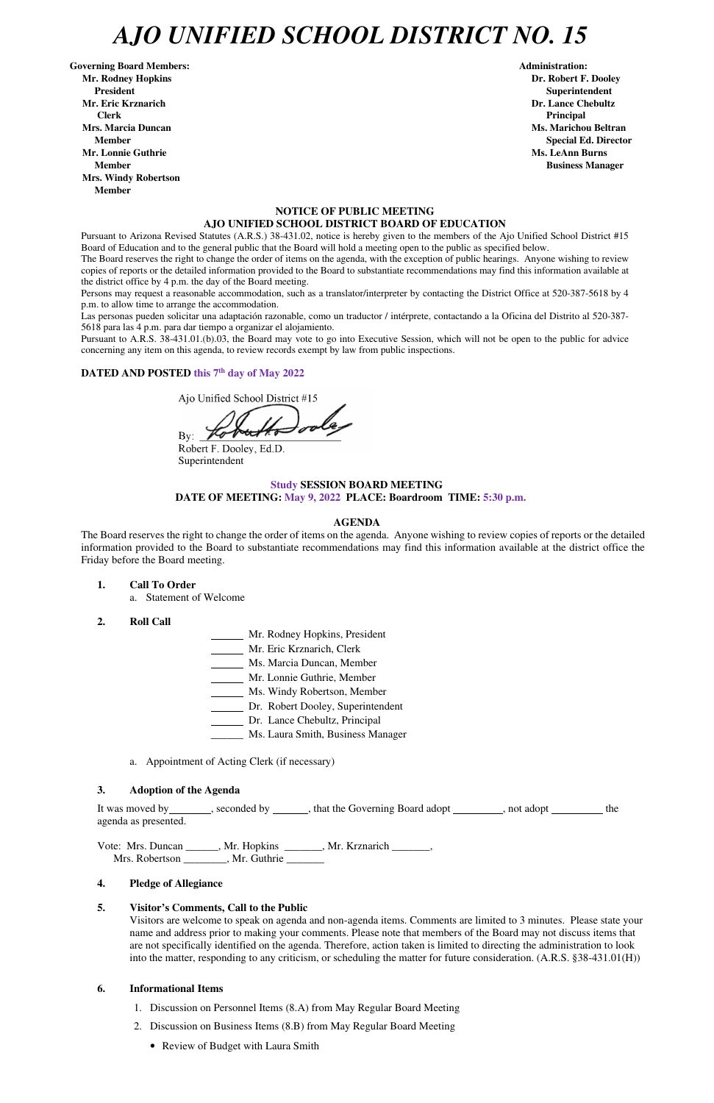# *AJO UNIFIED SCHOOL DISTRICT NO. 15*

Governing Board Members: **Administration: Administration: Administration: Mr. Rodney Hopkins Dr. Robert F. Dooley President Superintendent in the set of the set of the set of the set of the set of the Superintendent Superintendent Mr. Eric Krznarich Dr. Lance Chebultz Clerk Principal Mrs. Marcia Duncan Ms. Marichou Beltran Aristotelli, and Ms. Marichou Beltran** *Ms. Marichou Beltran* **Ms. Marichou Beltran <b>Ms. Marichou Beltran Mr. Lonnie Guthrie Ms. LeAnn Burns**  $\mathbf{M}$ **s. LeAnn Burns**  $\mathbf{M}$ **s. LeAnn Burns**  $\mathbf{M}$ **s. LeAnn Burns**  $\mathbf{M}$ **s. LeAnn Burns**  $\mathbf{M}$ **s. LeAnn Burns**  $\mathbf{M}$ **s. LeAnn Burns**  $\mathbf{M}$ **s. Le** $\mathbf{M}$ **s. Le** $\mathbf{M}$ **s. Le** $\mathbf{M}$ **Member Business Manager Business Manager Business Manager Mrs. Windy Robertson Member** 

#### **NOTICE OF PUBLIC MEETING AJO UNIFIED SCHOOL DISTRICT BOARD OF EDUCATION**

Pursuant to Arizona Revised Statutes (A.R.S.) 38-431.02, notice is hereby given to the members of the Ajo Unified School District #15 Board of Education and to the general public that the Board will hold a meeting open to the public as specified below.

The Board reserves the right to change the order of items on the agenda, with the exception of public hearings. Anyone wishing to review copies of reports or the detailed information provided to the Board to substantiate recommendations may find this information available at the district office by 4 p.m. the day of the Board meeting.

Persons may request a reasonable accommodation, such as a translator/interpreter by contacting the District Office at 520-387-5618 by 4 p.m. to allow time to arrange the accommodation.

Las personas pueden solicitar una adaptación razonable, como un traductor / intérprete, contactando a la Oficina del Distrito al 520-387- 5618 para las 4 p.m. para dar tiempo a organizar el alojamiento.

It was moved by \_\_\_\_\_\_\_, seconded by \_\_\_\_\_\_, that the Governing Board adopt \_\_\_\_\_\_\_, not adopt \_\_\_\_\_\_\_\_ the agenda as presented.

Vote: Mrs. Duncan \_\_\_\_\_\_, Mr. Hopkins \_\_\_\_\_\_\_, Mr. Krznarich \_\_\_\_\_\_\_, Mrs. Robertson \_\_\_\_\_\_\_\_, Mr. Guthrie \_\_\_\_\_\_\_

Pursuant to A.R.S. 38-431.01.(b).03, the Board may vote to go into Executive Session, which will not be open to the public for advice concerning any item on this agenda, to review records exempt by law from public inspections.

#### **DATED AND POSTED this 7th day of May 2022**

- 1. Discussion on Personnel Items (8.A) from May Regular Board Meeting
- 2. Discussion on Business Items (8.B) from May Regular Board Meeting
	- Review of Budget with Laura Smith

Ajo Unified School District #15

By:  $\angle$ 

Robert F. Dooley, Ed.D. Superintendent

## **Study SESSION BOARD MEETING**

**DATE OF MEETING: May 9, 2022 PLACE: Boardroom TIME: 5:30 p.m.**

#### **AGENDA**

The Board reserves the right to change the order of items on the agenda. Anyone wishing to review copies of reports or the detailed information provided to the Board to substantiate recommendations may find this information available at the district office the Friday before the Board meeting.

**1. Call To Order** 

a. Statement of Welcome

- **2. Roll Call**
- Mr. Rodney Hopkins, President
- Mr. Eric Krznarich, Clerk
- Ms. Marcia Duncan, Member
- Mr. Lonnie Guthrie, Member
- Ms. Windy Robertson, Member
- Dr. Robert Dooley, Superintendent
- Dr. Lance Chebultz, Principal
- Ms. Laura Smith, Business Manager
- a. Appointment of Acting Clerk (if necessary)

#### **3. Adoption of the Agenda**

**Member** Special Ed. Director **Special Ed. Director** 

#### **4. Pledge of Allegiance**

#### **5. Visitor's Comments, Call to the Public**

Visitors are welcome to speak on agenda and non-agenda items. Comments are limited to 3 minutes. Please state your name and address prior to making your comments. Please note that members of the Board may not discuss items that are not specifically identified on the agenda. Therefore, action taken is limited to directing the administration to look into the matter, responding to any criticism, or scheduling the matter for future consideration. (A.R.S. §38-431.01(H))

#### **6. Informational Items**